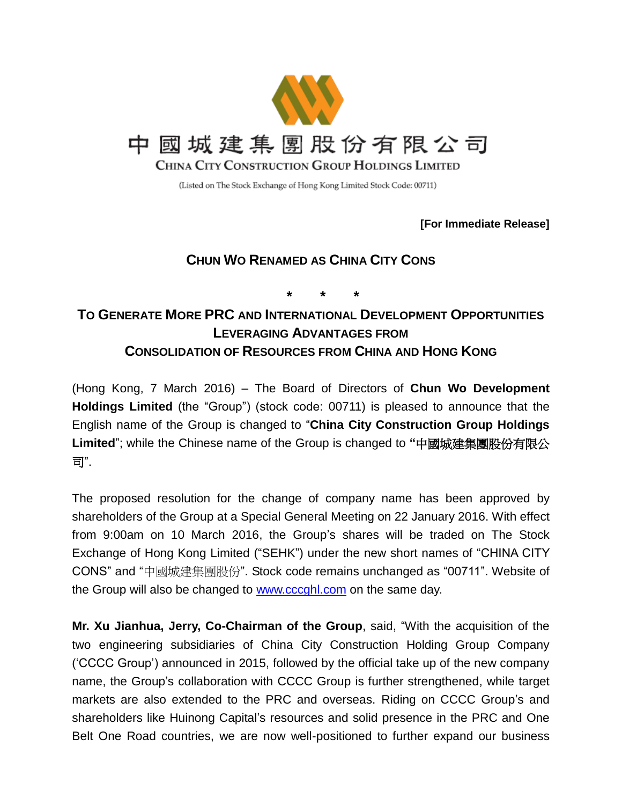

(Listed on The Stock Exchange of Hong Kong Limited Stock Code: 00711)

**[For Immediate Release]**

## **CHUN WO RENAMED AS CHINA CITY CONS**

**\* \* \***

## **TO GENERATE MORE PRC AND INTERNATIONAL DEVELOPMENT OPPORTUNITIES LEVERAGING ADVANTAGES FROM CONSOLIDATION OF RESOURCES FROM CHINA AND HONG KONG**

(Hong Kong, 7 March 2016) – The Board of Directors of **Chun Wo Development Holdings Limited** (the "Group") (stock code: 00711) is pleased to announce that the English name of the Group is changed to "**China City Construction Group Holdings Limited**"; while the Chinese name of the Group is changed to **"**中國城建集團股份有限公 司".

The proposed resolution for the change of company name has been approved by shareholders of the Group at a Special General Meeting on 22 January 2016. With effect from 9:00am on 10 March 2016, the Group's shares will be traded on The Stock Exchange of Hong Kong Limited ("SEHK") under the new short names of "CHINA CITY CONS" and "中國城建集團股份". Stock code remains unchanged as "00711". Website of the Group will also be changed to **www.cccghl.com** on the same day.

**Mr. Xu Jianhua, Jerry, Co-Chairman of the Group**, said, "With the acquisition of the two engineering subsidiaries of China City Construction Holding Group Company ('CCCC Group') announced in 2015, followed by the official take up of the new company name, the Group's collaboration with CCCC Group is further strengthened, while target markets are also extended to the PRC and overseas. Riding on CCCC Group's and shareholders like Huinong Capital's resources and solid presence in the PRC and One Belt One Road countries, we are now well-positioned to further expand our business